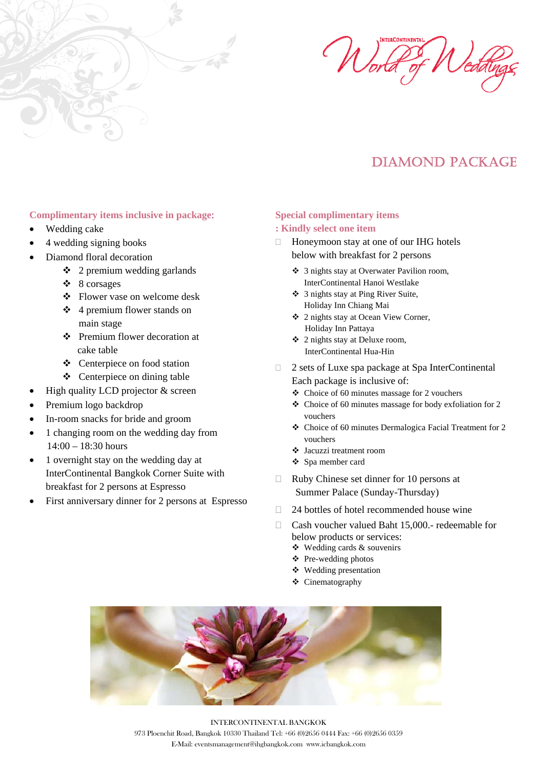



# DIAMOND PACKAGE

#### **Complimentary items inclusive in package: Special complimentary items**

- 
- 4 wedding signing books
- Diamond floral decoration
	-
	-
	- Flower vase on welcome desk
	- $\div$  4 premium flower stands on main stage
	- $\bullet$  Premium flower decoration at  $\bullet$  2 nights stay at Deluxe room, cake table InterContinental Hua-Hin
	-
	-
- 
- 
- 
- 1 changing room on the wedding day from<br> $v_{\text{vouchers}}$ <br> $14:00 18:30$  hours
- 1 overnight stay on the wedding day at InterContinental Bangkok Corner Suite with breakfast for 2 persons at Espresso
- Summer Palace (Sunday-Thursday)<br>First anniversary dinner for 2 persons at Espresso<br> $\Box$  24 bottles of botel recommended bou

#### • Wedding cake **: Kindly select one item**

- $\Box$  Honeymoon stay at one of our IHG hotels below with breakfast for 2 persons
- 2 premium wedding garlands 3 nights stay at Overwater Pavilion room, 8 corsages InterContinental Hanoi Westlake
	- 3 nights stay at Ping River Suite, Holiday Inn Chiang Mai
	- 2 nights stay at Ocean View Corner, Holiday Inn Pattaya
	-
- <p>★<br/>\nCentre piece on food station<br/>\nCentre price on dining table<br/>\nHigh quality LCD projector &amp; screen<br/>\n<math display="inline">\bullet</math> Choice of 60 minutes message for 2 vouchers</p>
	- $\div$  Choice of 60 minutes massage for 2 vouchers
- **•** Premium logo backdrop **•** Choice of 60 minutes massage for body exfoliation for 2 In-room snacks for bride and groom vouchers vouchers vouches<br>  $\bullet$  Choice of 60 minutes Dermalogica Facial Treatment for 2
	-
	- ❖ Jacuzzi treatment room
	- Spa member card
	- $\Box$  Ruby Chinese set dinner for 10 persons at
	- 24 bottles of hotel recommended house wine
	- □ Cash voucher valued Baht 15,000.- redeemable for below products or services:
		- Wedding cards & souvenirs
		- Pre-wedding photos
		- Wedding presentation
		- Cinematography



INTERCONTINENTAL BANGKOK 973 Ploenchit Road, Bangkok 10330 Thailand Tel: +66 (0)2656 0444 Fax: +66 (0)2656 0359 E-Mail: eventsmanagement@ihgbangkok.com www.icbangkok.com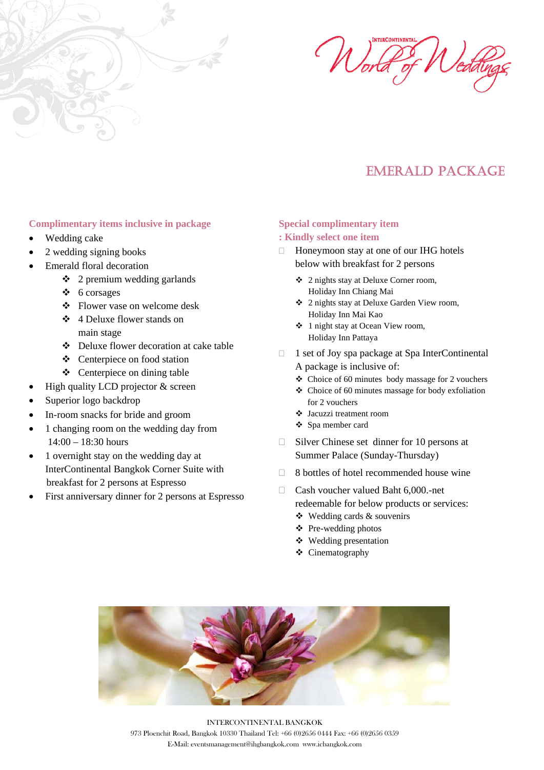



## EMERALD PACKAGE

#### **Complimentary items inclusive in package**

- Wedding cake
- 2 wedding signing books
- Emerald floral decoration
	- $\div$  2 premium wedding garlands
	- $6$  corsages
	- Flower vase on welcome desk
	- 4 Deluxe flower stands on main stage
	- Deluxe flower decoration at cake table
	- Centerpiece on food station
	- Centerpiece on dining table
- High quality LCD projector & screen
- Superior logo backdrop
- In-room snacks for bride and groom
- 1 changing room on the wedding day from 14:00 – 18:30 hours
- 1 overnight stay on the wedding day at InterContinental Bangkok Corner Suite with breakfast for 2 persons at Espresso
- First anniversary dinner for 2 persons at Espresso

## **Special complimentary item**

### **: Kindly select one item**

- $\Box$  Honeymoon stay at one of our IHG hotels below with breakfast for 2 persons
	- 2 nights stay at Deluxe Corner room, Holiday Inn Chiang Mai
	- 2 nights stay at Deluxe Garden View room, Holiday Inn Mai Kao
	- 1 night stay at Ocean View room, Holiday Inn Pattaya
- $\Box$  1 set of Joy spa package at Spa InterContinental A package is inclusive of:
	- $\triangle$  Choice of 60 minutes body massage for 2 vouchers
	- Choice of 60 minutes massage for body exfoliation for 2 vouchers
	- Jacuzzi treatment room
	- Spa member card
- $\Box$  Silver Chinese set dinner for 10 persons at Summer Palace (Sunday-Thursday)
- $\Box$  8 bottles of hotel recommended house wine
- □ Cash voucher valued Baht 6,000.-net redeemable for below products or services:
	- $\triangleleft$  Wedding cards & souvenirs
	- $\triangle$  Pre-wedding photos
	- Wedding presentation
	- Cinematography



INTERCONTINENTAL BANGKOK 973 Ploenchit Road, Bangkok 10330 Thailand Tel: +66 (0)2656 0444 Fax: +66 (0)2656 0359 E-Mail: eventsmanagement@ihgbangkok.com www.icbangkok.com